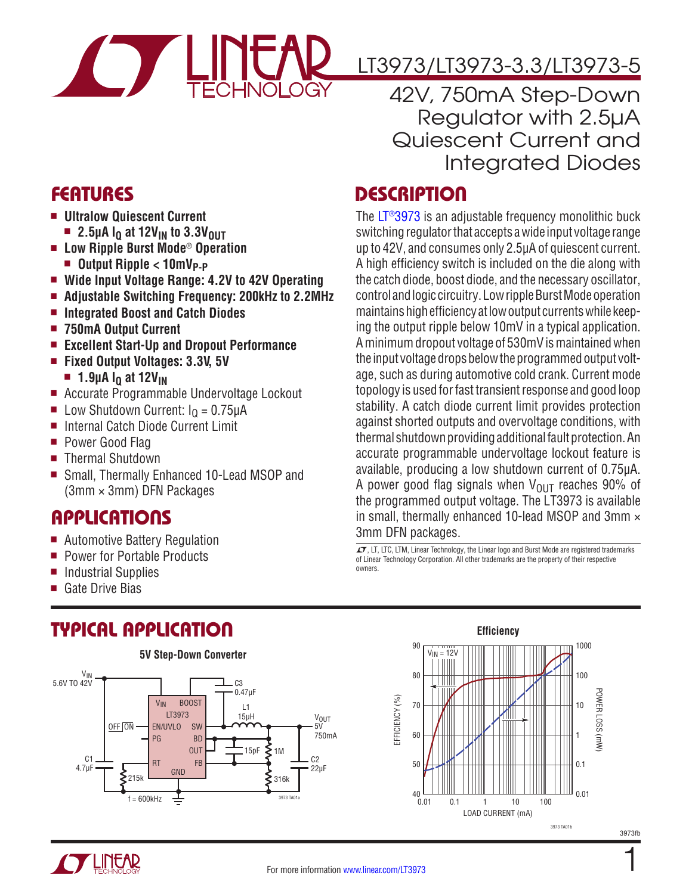

## LT3973/LT3973-3.3/LT3973-5

42V, 750mA Step-Down Regulator with 2.5µA Quiescent Current and Integrated Diodes

### **DESCRIPTION**

The [LT®3973](http://www.linear.com/LT3973) is an adjustable frequency monolithic buck switching regulator that accepts a wide input voltage range up to 42V, and consumes only 2.5µA of quiescent current. A high efficiency switch is included on the die along with the catch diode, boost diode, and the necessary oscillator, control and logic circuitry. Low ripple Burst Mode operation maintains high efficiency at low output currents while keeping the output ripple below 10mV in a typical application. A minimum dropout voltage of 530mV is maintained when the input voltage drops below the programmed output voltage, such as during automotive cold crank. Current mode topology is used for fast transient response and good loop stability. A catch diode current limit provides protection against shorted outputs and overvoltage conditions, with thermal shutdown providing additional fault protection. An accurate programmable undervoltage lockout feature is available, producing a low shutdown current of 0.75µA. A power good flag signals when  $V_{OIII}$  reaches 90% of the programmed output voltage. The LT3973 is available in small, thermally enhanced 10-lead MSOP and 3mm  $\times$ 3mm DFN packages.

 $\overline{\mathcal{L}7}$ , LT, LTC, LTM, Linear Technology, the Linear logo and Burst Mode are registered trademarks of Linear Technology Corporation. All other trademarks are the property of their respective owners.



- $\blacksquare$  **Ultralow Quiescent Current** 
	- **2.5µA I<sub>Q</sub> at 12V<sub>IN</sub> to 3.3V<sub>OUT</sub>**
- <sup>n</sup> **Low Ripple Burst Mode**® **Operation**
	- **n** Output Ripple < 10mV<sub>P-P</sub>
- Wide Input Voltage Range: 4.2V to 42V Operating
- <sup>n</sup> **Adjustable Switching Frequency: 200kHz to 2.2MHz**
- **Integrated Boost and Catch Diodes**
- <sup>n</sup> **750mA Output Current**
- <sup>n</sup> **Excellent Start-Up and Dropout Performance**
- Fixed Output Voltages: 3.3V, 5V
	- 1.9µA I<sub>0</sub> at 12V<sub>IN</sub>
- Accurate Programmable Undervoltage Lockout
- **n** Low Shutdown Current:  $I<sub>0</sub> = 0.75 \mu A$
- Internal Catch Diode Current Limit
- Power Good Flag
- Thermal Shutdown
- Small, Thermally Enhanced 10-Lead MSOP and (3mm × 3mm) DFN Packages

### **APPLICATIONS**

- Automotive Battery Regulation
- Power for Portable Products
- $\blacksquare$  Industrial Supplies
- $\blacksquare$  Gate Drive Bias

# TYPICAL APPLICATION







1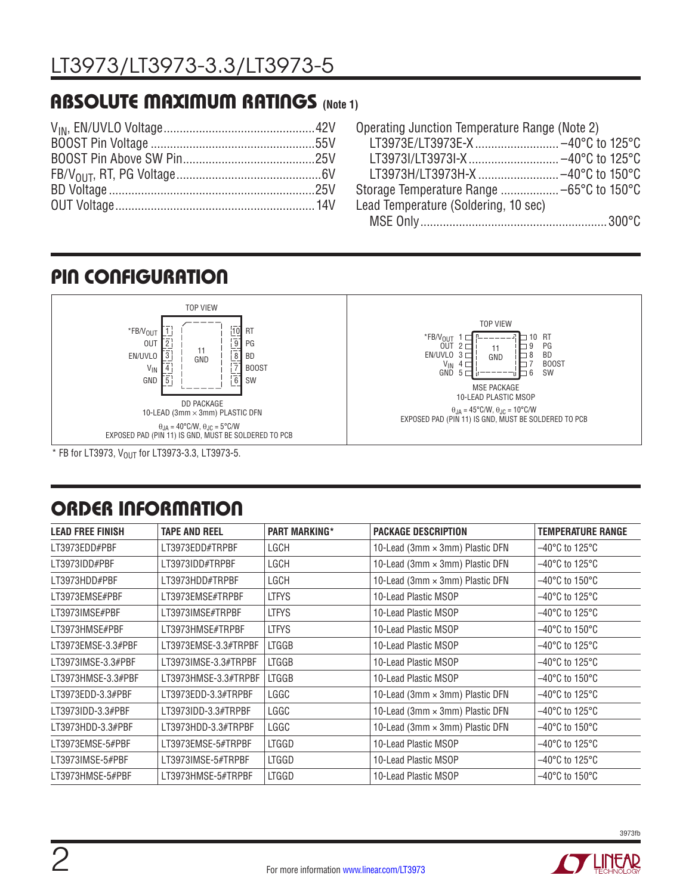### **ABSOLUTE MAXIMUM RATINGS (Note 1)**

| Operating Junction Temperature Range (Note 2) |  |
|-----------------------------------------------|--|
|                                               |  |
|                                               |  |
| LT3973H/LT3973H-X -40°C to 150°C              |  |
|                                               |  |
| Lead Temperature (Soldering, 10 sec)          |  |
|                                               |  |

#### TOP VIEW 11 GND DD PACKAGE 10-LEAD (3mm  $\times$  3mm) PLASTIC DFN  $\overline{10}$  $\overline{9}$  $\sqrt{6}$ 7  $\overline{8}$  $\overline{4}$  $\overline{5}$  $\sqrt{3}$ 12 I  $\overline{1}$   $\overline{1}$   $\overline{1}$   $\overline{1}$   $\overline{1}$   $\overline{1}$   $\overline{1}$   $\overline{1}$   $\overline{1}$   $\overline{1}$   $\overline{1}$   $\overline{1}$   $\overline{1}$   $\overline{1}$   $\overline{1}$   $\overline{1}$   $\overline{1}$   $\overline{1}$   $\overline{1}$   $\overline{1}$   $\overline{1}$   $\overline{1}$   $\overline{1}$   $\overline{1}$   $\overline{$ PG BD BOOST SW  $*$ FB/V<sub>OUT</sub> OUT EN/UVLO VIN GND  $\theta_{\sf JA}$  = 40°C/W,  $\theta_{\sf JC}$  = 5°C/W<br>EXPOSED PAD (PIN 11) IS GND, MUST BE SOLDERED TO PCB <sup>\*FB/V</sup>OUT 1<br>OUT 2 3 EN/UVLO 4 VIN 5 GND 10 RT 9 8 7 6 PG BD BOOST SW TOP VIEW MSE PACKAGE 10-LEAD PLASTIC MSOP 11 GND θJA = 45°C/W, θJC = 10°C/W EXPOSED PAD (PIN 11) IS GND, MUST BE SOLDERED TO PCB PIN CONFIGURATION

 $*$  FB for LT3973, V<sub>OUT</sub> for LT3973-3.3, LT3973-5.

### ORDER INFORMATION

| <b>LEAD FREE FINISH</b> | <b>TAPE AND REEL</b> | <b>PART MARKING*</b> | <b>PACKAGE DESCRIPTION</b>      | <b>TEMPERATURE RANGE</b>            |
|-------------------------|----------------------|----------------------|---------------------------------|-------------------------------------|
| LT3973EDD#PBF           | LT3973EDD#TRPBF      | LGCH                 | 10-Lead (3mm × 3mm) Plastic DFN | $-40^{\circ}$ C to 125 $^{\circ}$ C |
| LT3973IDD#PBF           | LT3973IDD#TRPBF      | LGCH                 | 10-Lead (3mm × 3mm) Plastic DFN | $-40^{\circ}$ C to 125 $^{\circ}$ C |
| LT3973HDD#PBF           | LT3973HDD#TRPBF      | LGCH                 | 10-Lead (3mm × 3mm) Plastic DFN | $-40^{\circ}$ C to 150 $^{\circ}$ C |
| LT3973EMSE#PBF          | LT3973EMSE#TRPBF     | <b>LTFYS</b>         | 10-Lead Plastic MSOP            | $-40^{\circ}$ C to 125 $^{\circ}$ C |
| LT3973IMSE#PBF          | LT3973IMSE#TRPBF     | <b>LTFYS</b>         | 10-Lead Plastic MSOP            | $-40^{\circ}$ C to 125 $^{\circ}$ C |
| LT3973HMSE#PBF          | LT3973HMSE#TRPBF     | <b>LTFYS</b>         | 10-Lead Plastic MSOP            | $-40^{\circ}$ C to 150 $^{\circ}$ C |
| LT3973EMSE-3.3#PBF      | LT3973EMSE-3.3#TRPBF | <b>LTGGB</b>         | 10-Lead Plastic MSOP            | $-40^{\circ}$ C to 125 $^{\circ}$ C |
| LT3973IMSE-3.3#PBF      | LT3973IMSE-3.3#TRPBF | <b>LTGGB</b>         | 10-Lead Plastic MSOP            | $-40^{\circ}$ C to 125 $^{\circ}$ C |
| LT3973HMSE-3.3#PBF      | LT3973HMSE-3.3#TRPBF | <b>LTGGB</b>         | 10-Lead Plastic MSOP            | $-40^{\circ}$ C to 150 $^{\circ}$ C |
| LT3973EDD-3.3#PBF       | LT3973EDD-3.3#TRPBF  | LGGC                 | 10-Lead (3mm × 3mm) Plastic DFN | $-40^{\circ}$ C to 125 $^{\circ}$ C |
| LT3973IDD-3.3#PBF       | LT3973IDD-3.3#TRPBF  | LGGC                 | 10-Lead (3mm × 3mm) Plastic DFN | $-40^{\circ}$ C to 125 $^{\circ}$ C |
| LT3973HDD-3.3#PBF       | LT3973HDD-3.3#TRPBF  | LGGC                 | 10-Lead (3mm × 3mm) Plastic DFN | –40°C to 150°C                      |
| LT3973EMSE-5#PBF        | LT3973EMSE-5#TRPBF   | <b>LTGGD</b>         | 10-Lead Plastic MSOP            | –40°C to 125°C                      |
| LT3973IMSE-5#PBF        | LT3973IMSE-5#TRPBF   | <b>LTGGD</b>         | 10-Lead Plastic MSOP            | $-40^{\circ}$ C to 125 $^{\circ}$ C |
| LT3973HMSE-5#PBF        | LT3973HMSE-5#TRPBF   | <b>LTGGD</b>         | 10-Lead Plastic MSOP            | $-40^{\circ}$ C to 150 $^{\circ}$ C |



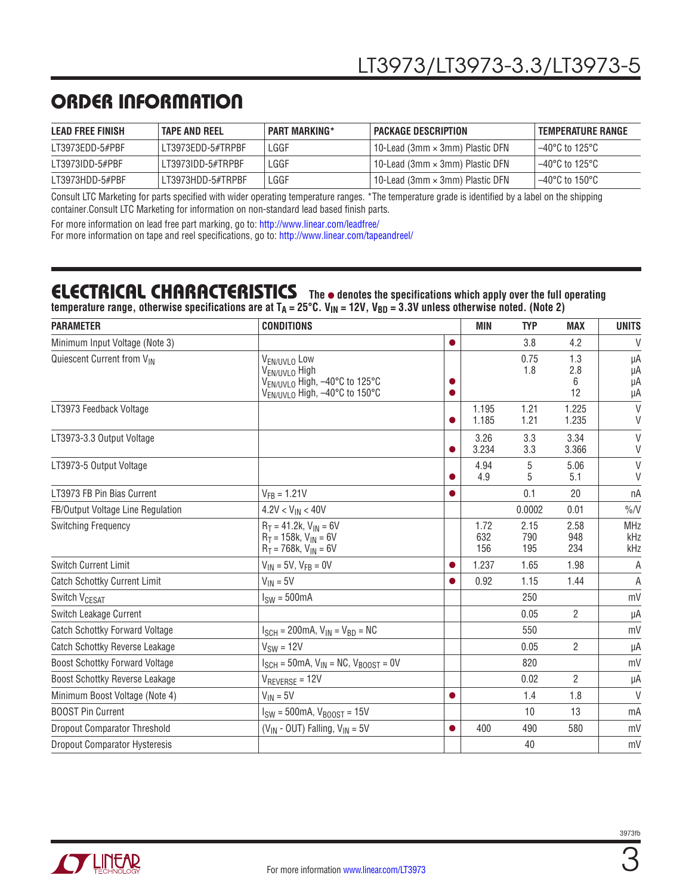### ORDER INFORMATION

| <b>LEAD FREE FINISH</b> | <b>TAPE AND REEL</b> | <b>PART MARKING*</b> | I PACKAGE DESCRIPTION                  | . TEMPERATURE RANGE      |
|-------------------------|----------------------|----------------------|----------------------------------------|--------------------------|
| LT3973EDD-5#PBF         | LT3973EDD-5#TRPBF    | LGGF                 | 10-Lead (3mm $\times$ 3mm) Plastic DFN | l –40°C to 125°C         |
| LT3973IDD-5#PBF         | LT3973IDD-5#TRPBF    | LGGF                 | 10-Lead (3mm $\times$ 3mm) Plastic DFN | l –40°C to 125°C         |
| LT3973HDD-5#PBF         | LT3973HDD-5#TRPBF    | LGGF                 | 10-Lead (3mm $\times$ 3mm) Plastic DFN | $-40^{\circ}$ C to 150°C |

Consult LTC Marketing for parts specified with wider operating temperature ranges. \*The temperature grade is identified by a label on the shipping container.Consult LTC Marketing for information on non-standard lead based finish parts.

For more information on lead free part marking, go to: http://www.linear.com/leadfree/ For more information on tape and reel specifications, go to: http://www.linear.com/tapeandreel/

#### **ELECTRICAL CHARACTERISTICS** The  $\bullet$  denotes the specifications which apply over the full operating temperature range, otherwise specifications are at T<sub>A</sub> = 25°C. V<sub>IN</sub> = 12V, V<sub>BD</sub> = 3.3V unless otherwise noted. (Note 2)

| <b>PARAMETER</b>                      | <b>CONDITIONS</b>                                                                                                                               |           |                    | <b>TYP</b>         | <b>MAX</b>            | <b>UNITS</b>             |
|---------------------------------------|-------------------------------------------------------------------------------------------------------------------------------------------------|-----------|--------------------|--------------------|-----------------------|--------------------------|
| Minimum Input Voltage (Note 3)        |                                                                                                                                                 | $\bullet$ |                    | 3.8                | 4.2                   | V                        |
| Quiescent Current from VIN            | V <sub>EN/UVLO</sub> Low<br>V <sub>EN/UVLO</sub> High<br>V <sub>EN/UVLO</sub> High, -40°C to 125°C<br>V <sub>EN/UVLO</sub> High, -40°C to 150°C |           |                    | 0.75<br>1.8        | 1.3<br>2.8<br>6<br>12 | μA<br>μA<br>μA<br>μA     |
| LT3973 Feedback Voltage               |                                                                                                                                                 |           | 1.195<br>1.185     | 1.21<br>1.21       | 1.225<br>1.235        | $\vee$<br>V              |
| LT3973-3.3 Output Voltage             |                                                                                                                                                 |           | 3.26<br>3.234      | 3.3<br>3.3         | 3.34<br>3.366         | $\vee$<br>V              |
| LT3973-5 Output Voltage               |                                                                                                                                                 |           | 4.94<br>4.9        | 5<br>5             | 5.06<br>5.1           | $\vee$<br>V              |
| LT3973 FB Pin Bias Current            | $V_{FB} = 1.21V$                                                                                                                                |           |                    | 0.1                | 20                    | nA                       |
| FB/Output Voltage Line Regulation     | $4.2V < V_{IN} < 40V$                                                                                                                           |           |                    | 0.0002             | 0.01                  | $\%N$                    |
| <b>Switching Frequency</b>            | $R_T = 41.2k$ , $V_{IN} = 6V$<br>$R_T = 158k$ , $V_{IN} = 6V$<br>$R_T = 768k$ , $V_{IN} = 6V$                                                   |           | 1.72<br>632<br>156 | 2.15<br>790<br>195 | 2.58<br>948<br>234    | <b>MHz</b><br>kHz<br>kHz |
| Switch Current Limit                  | $V_{IN}$ = 5V, $V_{FR}$ = 0V                                                                                                                    | $\bullet$ | 1.237              | 1.65               | 1.98                  | A                        |
| <b>Catch Schottky Current Limit</b>   | $V_{IN} = 5V$                                                                                                                                   |           | 0.92               | 1.15               | 1.44                  | A                        |
| <b>Switch VCESAT</b>                  | $I_{SW} = 500mA$                                                                                                                                |           |                    | 250                |                       | mV                       |
| Switch Leakage Current                |                                                                                                                                                 |           |                    | 0.05               | $\overline{2}$        | μA                       |
| <b>Catch Schottky Forward Voltage</b> | $I_{SCH} = 200 \text{mA}, V_{IN} = V_{BD} = \text{NC}$                                                                                          |           |                    | 550                |                       | mV                       |
| <b>Catch Schottky Reverse Leakage</b> | $V_{SW} = 12V$                                                                                                                                  |           |                    | 0.05               | $\overline{2}$        | μA                       |
| <b>Boost Schottky Forward Voltage</b> | $I_{SCH}$ = 50mA, $V_{IN}$ = NC, $V_{BODST}$ = 0V                                                                                               |           |                    | 820                |                       | mV                       |
| <b>Boost Schottky Reverse Leakage</b> | $V_{REVERSE} = 12V$                                                                                                                             |           |                    | 0.02               | $\overline{2}$        | μA                       |
| Minimum Boost Voltage (Note 4)        | $V_{IN} = 5V$                                                                                                                                   |           |                    | 1.4                | 1.8                   | $\mathsf{V}$             |
| <b>BOOST Pin Current</b>              | $I_{SW} = 500$ mA, $V_{B00ST} = 15V$                                                                                                            |           |                    | 10                 | 13                    | mA                       |
| <b>Dropout Comparator Threshold</b>   | $(V_{IN} - OUT)$ Falling, $V_{IN} = 5V$                                                                                                         | $\bullet$ | 400                | 490                | 580                   | mV                       |
| <b>Dropout Comparator Hysteresis</b>  |                                                                                                                                                 |           |                    | 40                 |                       | mV                       |

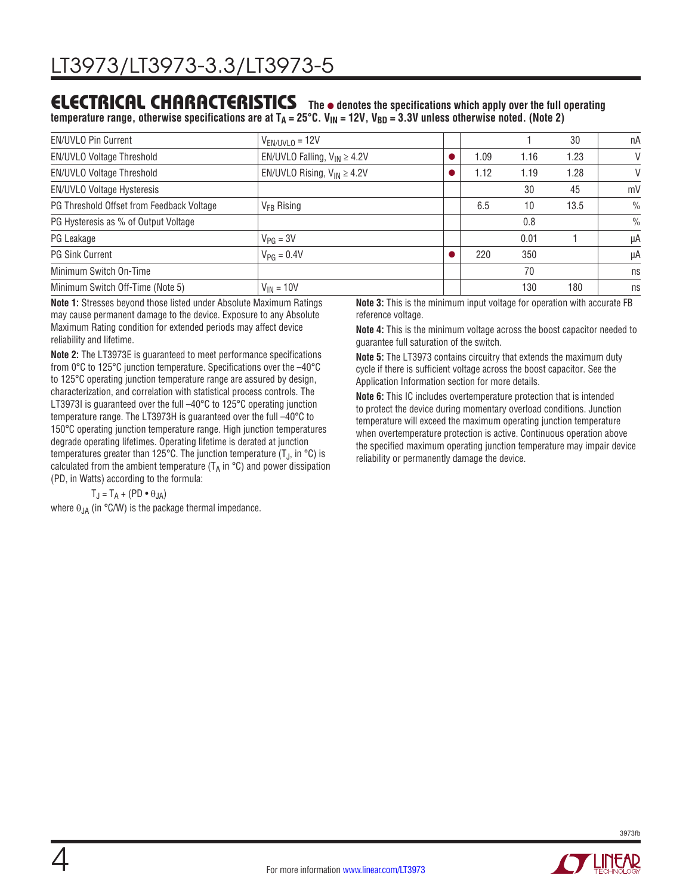#### **ELECTRICAL CHARACTERISTICS** The  $\bullet$  denotes the specifications which apply over the full operating temperature range, otherwise specifications are at T<sub>A</sub> = 25°C. V<sub>IN</sub> = 12V, V<sub>BD</sub> = 3.3V unless otherwise noted. (Note 2)

| <b>EN/UVLO Pin Current</b>                | $V_{EN/UVLO} = 12V$                |      |      | 30   | пA            |
|-------------------------------------------|------------------------------------|------|------|------|---------------|
| EN/UVLO Voltage Threshold                 | EN/UVLO Falling, $V_{IN} \ge 4.2V$ | 1.09 | 1.16 | 1.23 | V             |
| EN/UVLO Voltage Threshold                 | EN/UVLO Rising, $V_{IN} \ge 4.2V$  | 1.12 | 1.19 | 1.28 | $\vee$        |
| EN/UVLO Voltage Hysteresis                |                                    |      | 30   | 45   | mV            |
| PG Threshold Offset from Feedback Voltage | $V_{FR}$ Rising                    | 6.5  | 10   | 13.5 | $\frac{0}{0}$ |
| PG Hysteresis as % of Output Voltage      |                                    |      | 0.8  |      | $\frac{0}{0}$ |
| PG Leakage                                | $V_{PG} = 3V$                      |      | 0.01 |      | μA            |
| <b>PG Sink Current</b>                    | $V_{PG} = 0.4V$                    | 220  | 350  |      | μA            |
| Minimum Switch On-Time                    |                                    |      | 70   |      | ns            |
| Minimum Switch Off-Time (Note 5)          | $V_{IN} = 10V$                     |      | 130  | 180  | ns            |
|                                           |                                    |      |      |      |               |

**Note 1:** Stresses beyond those listed under Absolute Maximum Ratings may cause permanent damage to the device. Exposure to any Absolute Maximum Rating condition for extended periods may affect device reliability and lifetime.

**Note 2:** The LT3973E is guaranteed to meet performance specifications from 0°C to 125°C junction temperature. Specifications over the –40°C to 125°C operating junction temperature range are assured by design, characterization, and correlation with statistical process controls. The LT3973I is guaranteed over the full -40°C to 125°C operating junction temperature range. The LT3973H is guaranteed over the full –40°C to 150°C operating junction temperature range. High junction temperatures degrade operating lifetimes. Operating lifetime is derated at junction temperatures greater than 125°C. The junction temperature  $(T_{\rm J},$  in °C) is calculated from the ambient temperature ( $T_A$  in  $\degree$ C) and power dissipation (PD, in Watts) according to the formula:

 $T_J = T_A + (PD \cdot \theta_{JA})$ 

where  $\theta_{JA}$  (in °C/W) is the package thermal impedance.

**Note 3:** This is the minimum input voltage for operation with accurate FB reference voltage.

**Note 4:** This is the minimum voltage across the boost capacitor needed to guarantee full saturation of the switch.

**Note 5:** The LT3973 contains circuitry that extends the maximum duty cycle if there is sufficient voltage across the boost capacitor. See the Application Information section for more details.

**Note 6:** This IC includes overtemperature protection that is intended to protect the device during momentary overload conditions. Junction temperature will exceed the maximum operating junction temperature when overtemperature protection is active. Continuous operation above the specified maximum operating junction temperature may impair device reliability or permanently damage the device.

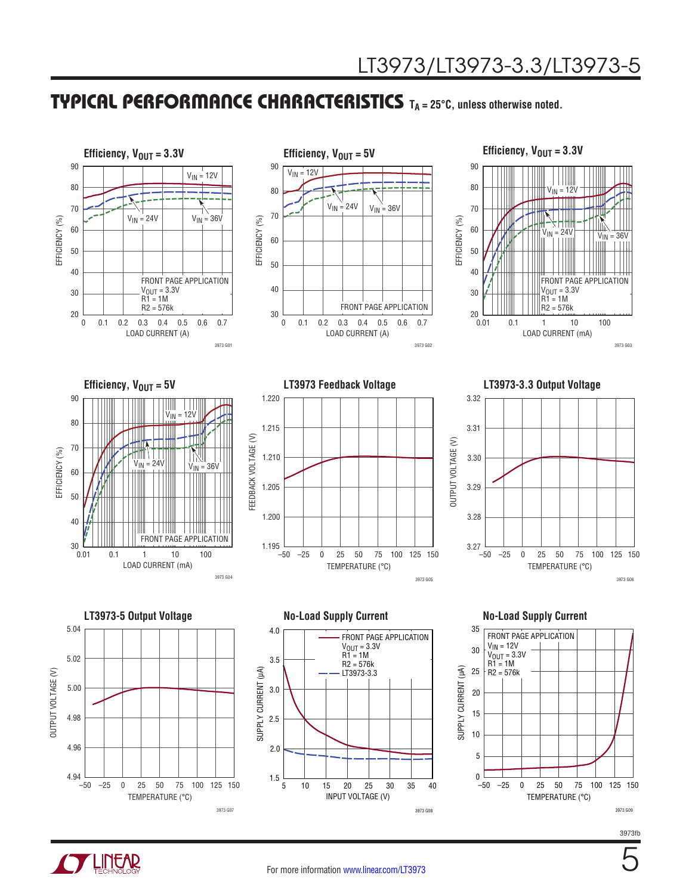### TYPICAL PERFORMANCE CHARACTERISTICS **TA = 25°C, unless otherwise noted.**



5

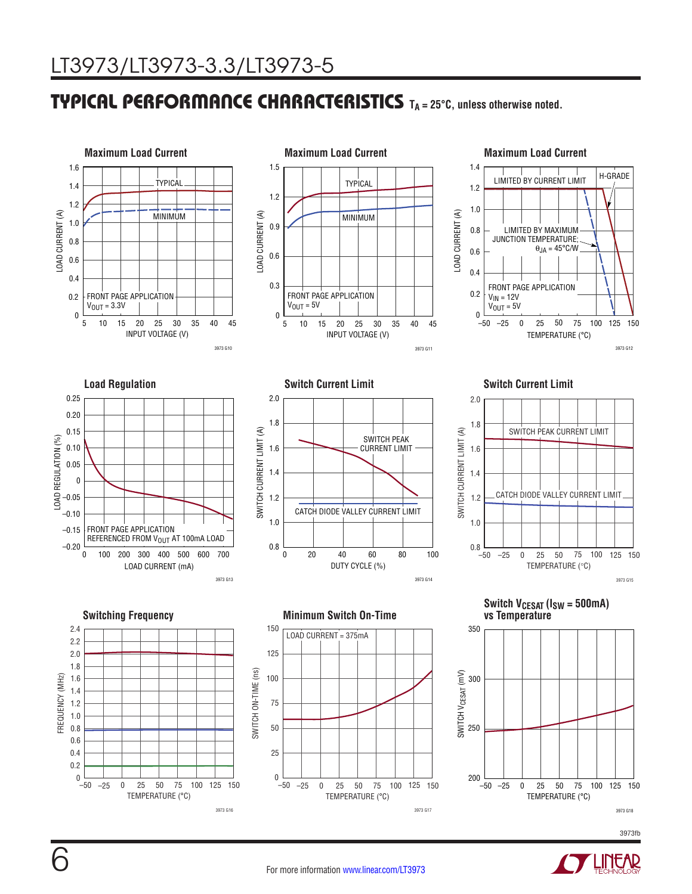### TYPICAL PERFORMANCE CHARACTERISTICS **TA = 25°C, unless otherwise noted.**



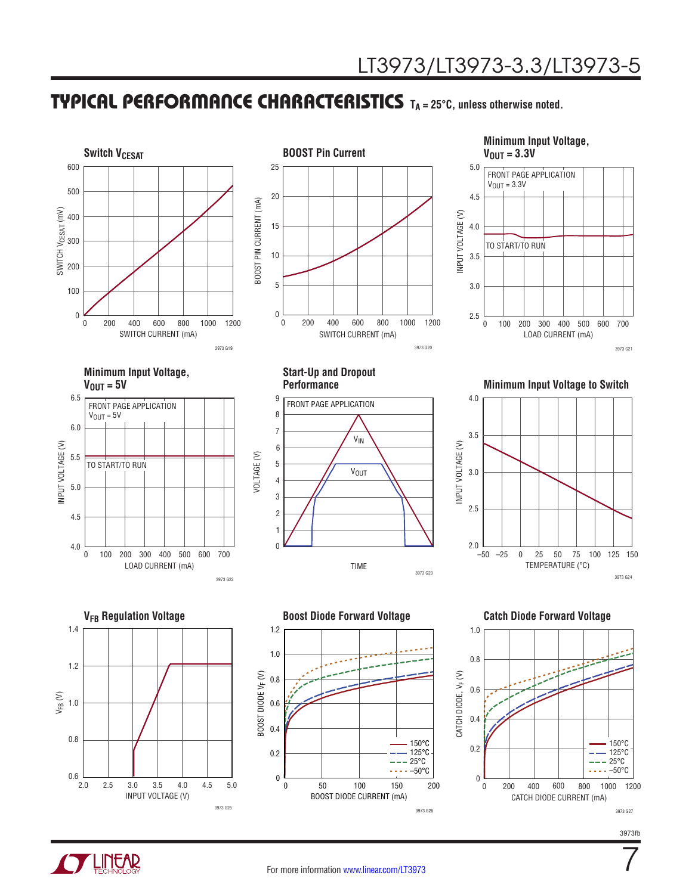### **TYPICAL PERFORMANCE CHARACTERISTICS** T<sub>A</sub> = 25°C, unless otherwise noted.



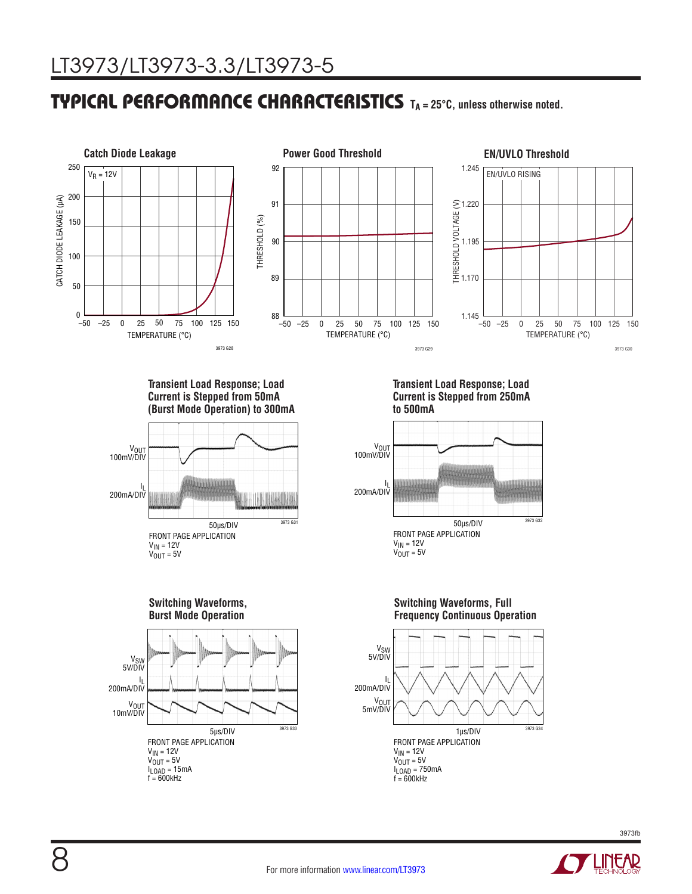### **TYPICAL PERFORMANCE CHARACTERISTICS** T<sub>A</sub> = 25°C, unless otherwise noted.



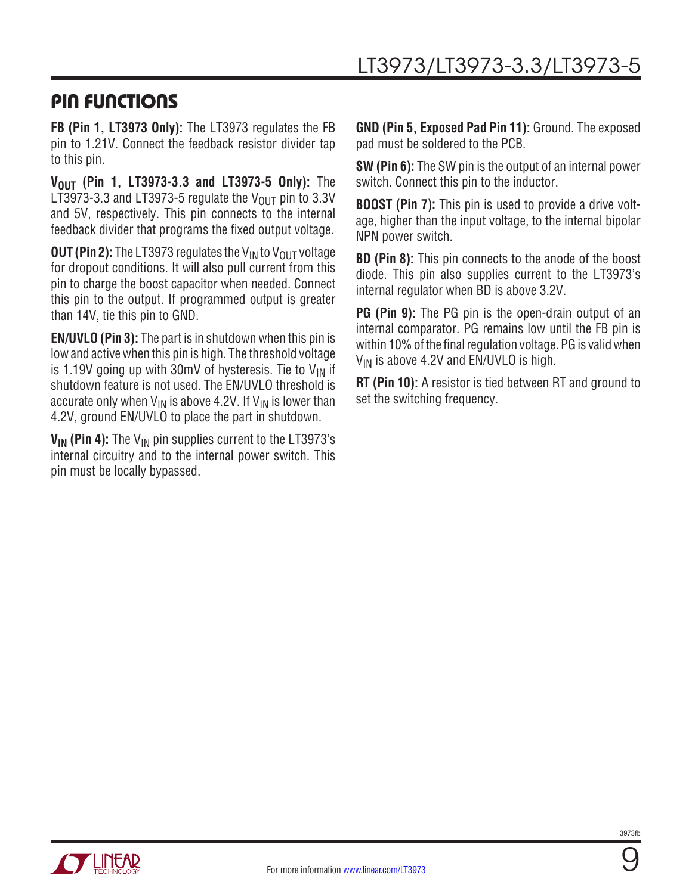### PIN FUNCTIONS

**FB (Pin 1, LT3973 Only):** The LT3973 regulates the FB pin to 1.21V. Connect the feedback resistor divider tap to this pin.

**VOUT (Pin 1, LT3973-3.3 and LT3973-5 Only):** The LT3973-3.3 and LT3973-5 regulate the  $V_{\text{OUT}}$  pin to 3.3V and 5V, respectively. This pin connects to the internal feedback divider that programs the fixed output voltage.

**OUT (Pin 2):** The LT3973 regulates the V<sub>IN</sub> to V<sub>OUT</sub> voltage for dropout conditions. It will also pull current from this pin to charge the boost capacitor when needed. Connect this pin to the output. If programmed output is greater than 14V, tie this pin to GND.

**EN/UVLO (Pin 3):** The part is in shutdown when this pin is low and active when this pin is high. The threshold voltage is 1.19V going up with 30mV of hysteresis. Tie to  $V_{IN}$  if shutdown feature is not used. The EN/UVLO threshold is accurate only when  $V_{IN}$  is above 4.2V. If  $V_{IN}$  is lower than 4.2V, ground EN/UVLO to place the part in shutdown.

**V<sub>IN</sub>** (Pin 4): The V<sub>IN</sub> pin supplies current to the LT3973's internal circuitry and to the internal power switch. This pin must be locally bypassed.

**GND (Pin 5, Exposed Pad Pin 11):** Ground. The exposed pad must be soldered to the PCB.

**SW (Pin 6):** The SW pin is the output of an internal power switch. Connect this pin to the inductor.

**BOOST (Pin 7):** This pin is used to provide a drive voltage, higher than the input voltage, to the internal bipolar NPN power switch.

**BD (Pin 8):** This pin connects to the anode of the boost diode. This pin also supplies current to the LT3973's internal regulator when BD is above 3.2V.

**PG (Pin 9):** The PG pin is the open-drain output of an internal comparator. PG remains low until the FB pin is within 10% of the final regulation voltage. PG is valid when  $V_{IN}$  is above 4.2V and EN/UVLO is high.

**RT (Pin 10):** A resistor is tied between RT and ground to set the switching frequency.



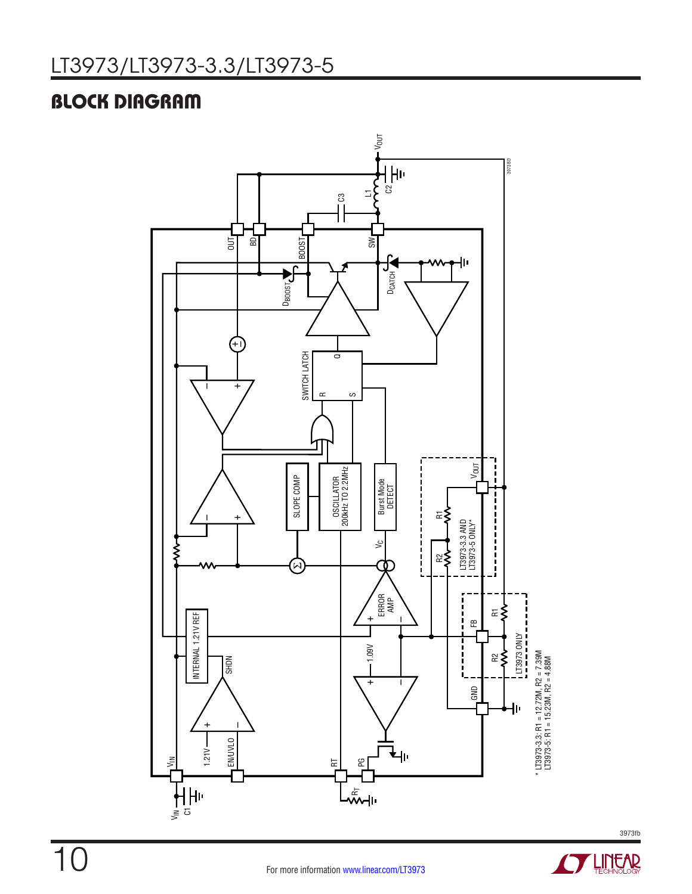### BLOCK DIAGRAM





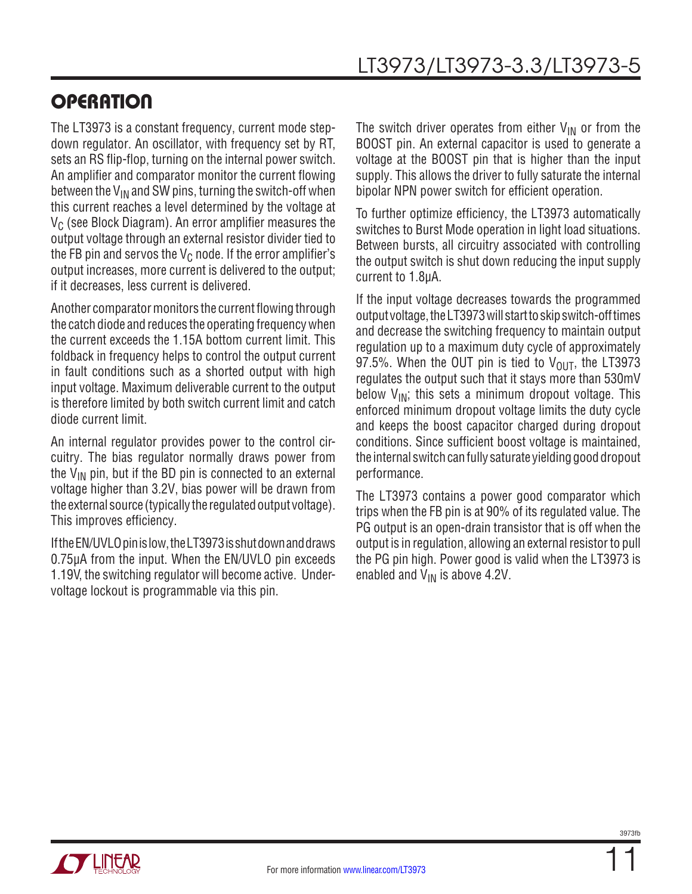### **OPERATION**

The LT3973 is a constant frequency, current mode stepdown regulator. An oscillator, with frequency set by RT, sets an RS flip-flop, turning on the internal power switch. An amplifier and comparator monitor the current flowing between the  $V_{IN}$  and SW pins, turning the switch-off when this current reaches a level determined by the voltage at  $V_C$  (see Block Diagram). An error amplifier measures the output voltage through an external resistor divider tied to the FB pin and servos the  $V_C$  node. If the error amplifier's output increases, more current is delivered to the output; if it decreases, less current is delivered.

Another comparator monitors the current flowing through the catch diode and reduces the operating frequency when the current exceeds the 1.15A bottom current limit. This foldback in frequency helps to control the output current in fault conditions such as a shorted output with high input voltage. Maximum deliverable current to the output is therefore limited by both switch current limit and catch diode current limit.

An internal regulator provides power to the control circuitry. The bias regulator normally draws power from the  $V_{IN}$  pin, but if the BD pin is connected to an external voltage higher than 3.2V, bias power will be drawn from the external source (typically the regulated output voltage). This improves efficiency.

IftheEN/UVLOpinislow, theLT3973isshutdownanddraws 0.75µA from the input. When the EN/UVLO pin exceeds 1.19V, the switching regulator will become active. Undervoltage lockout is programmable via this pin.

The switch driver operates from either  $V_{IN}$  or from the BOOST pin. An external capacitor is used to generate a voltage at the BOOST pin that is higher than the input supply. This allows the driver to fully saturate the internal bipolar NPN power switch for efficient operation.

To further optimize efficiency, the LT3973 automatically switches to Burst Mode operation in light load situations. Between bursts, all circuitry associated with controlling the output switch is shut down reducing the input supply current to 1.8µA.

If the input voltage decreases towards the programmed output voltage, the LT3973 will start to skip switch-off times and decrease the switching frequency to maintain output regulation up to a maximum duty cycle of approximately 97.5%. When the OUT pin is tied to  $V_{\text{OUT}}$ , the LT3973 regulates the output such that it stays more than 530mV below  $V_{IN}$ ; this sets a minimum dropout voltage. This enforced minimum dropout voltage limits the duty cycle and keeps the boost capacitor charged during dropout conditions. Since sufficient boost voltage is maintained, the internal switch can fully saturate yielding good dropout performance.

The LT3973 contains a power good comparator which trips when the FB pin is at 90% of its regulated value. The PG output is an open-drain transistor that is off when the output is in regulation, allowing an external resistor to pull the PG pin high. Power good is valid when the LT3973 is enabled and  $V_{IN}$  is above 4.2V.

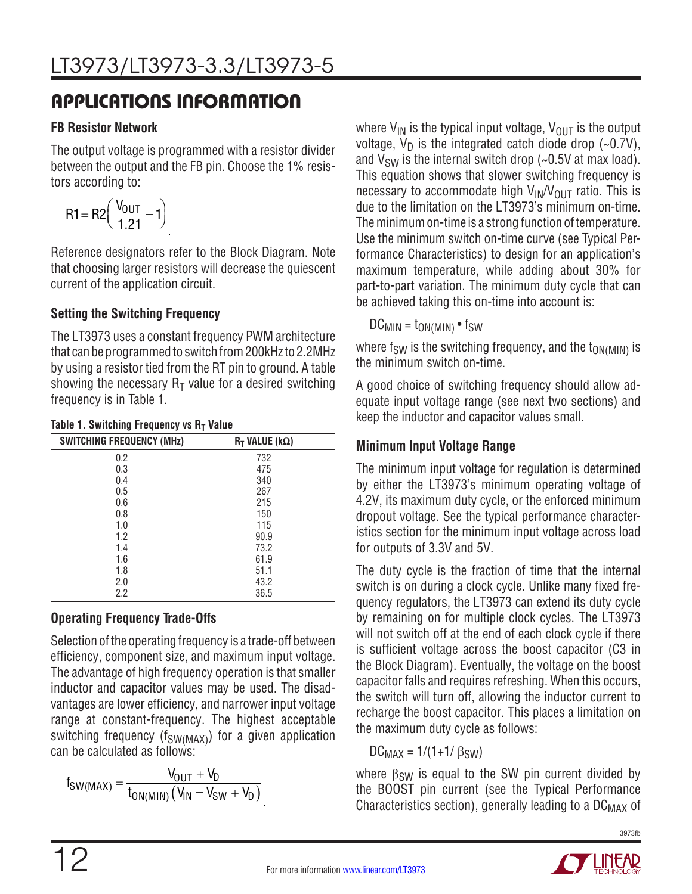#### **FB Resistor Network**

The output voltage is programmed with a resistor divider between the output and the FB pin. Choose the 1% resistors according to:

$$
R1 = R2 \left( \frac{V_{OUT}}{1.21} - 1 \right)
$$

Reference designators refer to the Block Diagram. Note that choosing larger resistors will decrease the quiescent current of the application circuit.

#### **Setting the Switching Frequency**

The LT3973 uses a constant frequency PWM architecture that can be programmed to switch from 200kHz to 2.2MHz by using a resistor tied from the RT pin to ground. A table showing the necessary  $R_T$  value for a desired switching frequency is in Table 1.

| <b>SWITCHING FREQUENCY (MHz)</b> | $R_T$ VALUE (k $\Omega$ ) |
|----------------------------------|---------------------------|
| 0.2                              | 732                       |
| 0.3                              | 475                       |
| 0.4                              | 340                       |
| 0.5                              | 267                       |
| 0.6                              | 215                       |
| 0.8                              | 150                       |
| 1.0                              | 115                       |
| 1.2                              | 90.9                      |
| 1.4                              | 73.2                      |
| 1.6                              | 61.9                      |
| 1.8                              | 51.1                      |
| 2.0                              | 43.2                      |
| $2.2\,$                          | 36.5                      |

#### **Table 1. Switching Frequency vs R<sub>T</sub> Value**

### **Operating Frequency Trade-Offs**

Selection of the operating frequency is a trade-off between efficiency, component size, and maximum input voltage. The advantage of high frequency operation is that smaller inductor and capacitor values may be used. The disadvantages are lower efficiency, and narrower input voltage range at constant-frequency. The highest acceptable switching frequency ( $f_{SW(MAX)}$ ) for a given application can be calculated as follows:

$$
f_{SW(MAX)} = \frac{V_{OUT} + V_D}{t_{ON(MIN)}(V_{IN} - V_{SW} + V_D)}
$$

where  $V_{IN}$  is the typical input voltage,  $V_{OUT}$  is the output voltage,  $V_D$  is the integrated catch diode drop (~0.7V), and  $V_{SW}$  is the internal switch drop (~0.5V at max load). This equation shows that slower switching frequency is necessary to accommodate high  $V_{IN}/V_{OUT}$  ratio. This is due to the limitation on the LT3973's minimum on-time. The minimum on-time is a strong function of temperature. Use the minimum switch on-time curve (see Typical Performance Characteristics) to design for an application's maximum temperature, while adding about 30% for part-to-part variation. The minimum duty cycle that can be achieved taking this on-time into account is:

 $DC_{MIN} = t_{ON(MIN)} \cdot f_{SW}$ 

where  $f_{SW}$  is the switching frequency, and the  $t_{ON(MIN)}$  is the minimum switch on-time.

A good choice of switching frequency should allow adequate input voltage range (see next two sections) and keep the inductor and capacitor values small.

#### **Minimum Input Voltage Range**

The minimum input voltage for regulation is determined by either the LT3973's minimum operating voltage of 4.2V, its maximum duty cycle, or the enforced minimum dropout voltage. See the typical performance characteristics section for the minimum input voltage across load for outputs of 3.3V and 5V.

The duty cycle is the fraction of time that the internal switch is on during a clock cycle. Unlike many fixed frequency regulators, the LT3973 can extend its duty cycle by remaining on for multiple clock cycles. The LT3973 will not switch off at the end of each clock cycle if there is sufficient voltage across the boost capacitor (C3 in the Block Diagram). Eventually, the voltage on the boost capacitor falls and requires refreshing. When this occurs, the switch will turn off, allowing the inductor current to recharge the boost capacitor. This places a limitation on the maximum duty cycle as follows:

 $DC_{MAX} = 1/(1+1/β_{SW})$ 

where  $\beta_{SW}$  is equal to the SW pin current divided by the BOOST pin current (see the Typical Performance Characteristics section), generally leading to a  $DC_{MAX}$  of

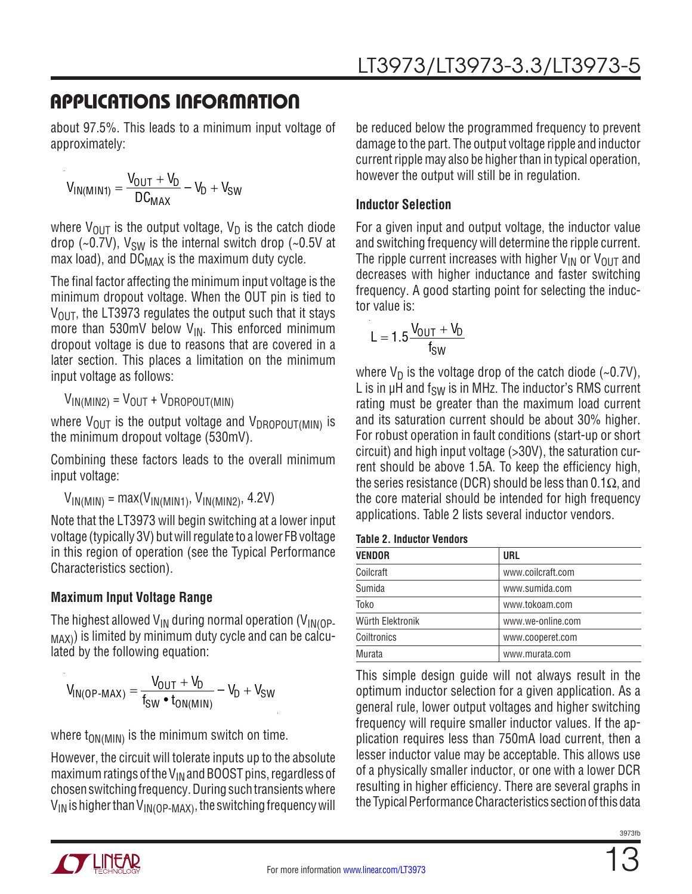about 97.5%. This leads to a minimum input voltage of approximately:

$$
V_{IN(MIN1)} = \frac{V_{OUT} + V_D}{DC_{MAX}} - V_D + V_{SW}
$$

where  $V_{\text{OUT}}$  is the output voltage,  $V_{\text{D}}$  is the catch diode drop (~0.7V),  $V_{SW}$  is the internal switch drop (~0.5V at max load), and  $DC_{MAX}$  is the maximum duty cycle.

The final factor affecting the minimum input voltage is the minimum dropout voltage. When the OUT pin is tied to  $V_{\text{OUT}}$ , the LT3973 regulates the output such that it stays more than 530mV below  $V_{IN}$ . This enforced minimum dropout voltage is due to reasons that are covered in a later section. This places a limitation on the minimum input voltage as follows:

 $V_{IN(MIN2)} = V_{OUT} + V_{DROPOUT(MIN)}$ 

where  $V_{\text{OUT}}$  is the output voltage and  $V_{\text{DROPOUT(MIN)}}$  is the minimum dropout voltage (530mV).

Combining these factors leads to the overall minimum input voltage:

 $V_{IN(MIN)} = max(V_{IN(MIN1)}, V_{IN(MIN2)}, 4.2V)$ 

Note that the LT3973 will begin switching at a lower input voltage (typically 3V) but will regulate to a lower FB voltage in this region of operation (see the Typical Performance Characteristics section).

### **Maximum Input Voltage Range**

The highest allowed  $V_{IN}$  during normal operation ( $V_{IN}$ <sub>OP-</sub>  $_{MAX}$ ) is limited by minimum duty cycle and can be calculated by the following equation:

$$
V_{IN(OP\text{-}MAX)} = \frac{V_{OUT} + V_D}{f_{SW} \cdot t_{ON(MIN)}} - V_D + V_{SW}
$$

where  $t_{ON(MIN)}$  is the minimum switch on time.

However, the circuit will tolerate inputs up to the absolute maximum ratings of the  $V_{IN}$  and BOOST pins, regardless of chosen switching frequency. During such transients where  $V_{IN}$  is higher than  $V_{IN(OP\text{-MAX})}$ , the switching frequency will be reduced below the programmed frequency to prevent damage to the part. The output voltage ripple and inductor current ripple may also be higher than in typical operation, however the output will still be in regulation.

#### **Inductor Selection**

For a given input and output voltage, the inductor value and switching frequency will determine the ripple current. The ripple current increases with higher  $V_{IN}$  or  $V_{OUT}$  and decreases with higher inductance and faster switching frequency. A good starting point for selecting the inductor value is:

$$
L=1.5\frac{V_{OUT}+V_D}{f_{SW}}
$$

where  $V_D$  is the voltage drop of the catch diode (~0.7V), L is in  $\mu$ H and  $f_{SW}$  is in MHz. The inductor's RMS current rating must be greater than the maximum load current and its saturation current should be about 30% higher. For robust operation in fault conditions (start-up or short circuit) and high input voltage (>30V), the saturation current should be above 1.5A. To keep the efficiency high, the series resistance (DCR) should be less than 0.1 $\Omega$ , and the core material should be intended for high frequency applications. Table 2 lists several inductor vendors.

**Table 2. Inductor Vendors**

| VENDOR           | <b>URL</b>        |
|------------------|-------------------|
| Coilcraft        | www.coilcraft.com |
| Sumida           | www.sumida.com    |
| Toko             | www.tokoam.com    |
| Würth Elektronik | www.we-online.com |
| Coiltronics      | www.cooperet.com  |
| Murata           | www.murata.com    |
|                  |                   |

This simple design guide will not always result in the optimum inductor selection for a given application. As a general rule, lower output voltages and higher switching frequency will require smaller inductor values. If the application requires less than 750mA load current, then a lesser inductor value may be acceptable. This allows use of a physically smaller inductor, or one with a lower DCR resulting in higher efficiency. There are several graphs in the Typical Performance Characteristics section of this data

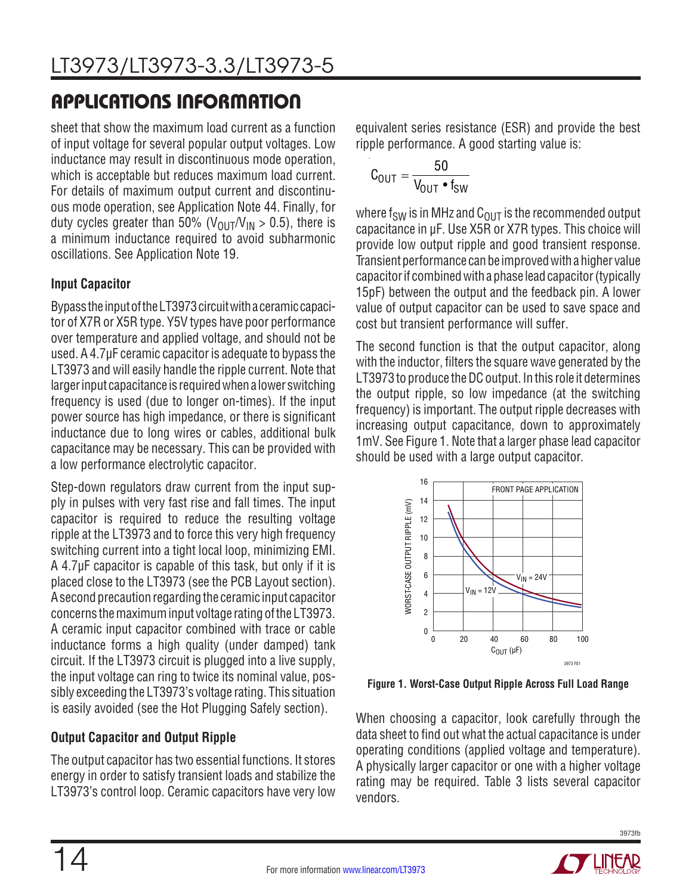sheet that show the maximum load current as a function of input voltage for several popular output voltages. Low inductance may result in discontinuous mode operation, which is acceptable but reduces maximum load current. For details of maximum output current and discontinuous mode operation, see Application Note 44. Finally, for duty cycles greater than 50% ( $V_{\text{OUT}}/V_{\text{IN}} > 0.5$ ), there is a minimum inductance required to avoid subharmonic oscillations. See Application Note 19.

#### **Input Capacitor**

Bypass the input of the LT3973 circuit with a ceramic capacitor of X7R or X5R type. Y5V types have poor performance over temperature and applied voltage, and should not be used. A 4.7µF ceramic capacitor is adequate to bypass the LT3973 and will easily handle the ripple current. Note that larger input capacitance is required when a lower switching frequency is used (due to longer on-times). If the input power source has high impedance, or there is significant inductance due to long wires or cables, additional bulk capacitance may be necessary. This can be provided with a low performance electrolytic capacitor.

Step-down regulators draw current from the input supply in pulses with very fast rise and fall times. The input capacitor is required to reduce the resulting voltage ripple at the LT3973 and to force this very high frequency switching current into a tight local loop, minimizing EMI. A 4.7µF capacitor is capable of this task, but only if it is placed close to the LT3973 (see the PCB Layout section). A second precaution regarding the ceramic input capacitor concerns the maximum input voltage rating of the LT3973. A ceramic input capacitor combined with trace or cable inductance forms a high quality (under damped) tank circuit. If the LT3973 circuit is plugged into a live supply, the input voltage can ring to twice its nominal value, possibly exceeding the LT3973's voltage rating. This situation is easily avoided (see the Hot Plugging Safely section).

### **Output Capacitor and Output Ripple**

The output capacitor has two essential functions. It stores energy in order to satisfy transient loads and stabilize the LT3973's control loop. Ceramic capacitors have very low equivalent series resistance (ESR) and provide the best ripple performance. A good starting value is:

$$
C_{\text{OUT}} = \frac{50}{V_{\text{OUT}} \cdot f_{\text{SW}}}
$$

where  $f_{SW}$  is in MHz and  $C_{OUT}$  is the recommended output capacitance in μF. Use X5R or X7R types. This choice will provide low output ripple and good transient response. Transient performance can be improved with a higher value capacitorif combinedwith a phase leadcapacitor (typically 15pF) between the output and the feedback pin. A lower value of output capacitor can be used to save space and cost but transient performance will suffer.

The second function is that the output capacitor, along with the inductor, filters the square wave generated by the LT3973 to produce the DC output. In this role it determines the output ripple, so low impedance (at the switching frequency) is important. The output ripple decreases with increasing output capacitance, down to approximately 1mV. See Figure 1. Note that a larger phase lead capacitor should be used with a large output capacitor.



**Figure 1. Worst-Case Output Ripple Across Full Load Range**

When choosing a capacitor, look carefully through the data sheet to find out what the actual capacitance is under operating conditions (applied voltage and temperature). A physically larger capacitor or one with a higher voltage rating may be required. Table 3 lists several capacitor vendors.

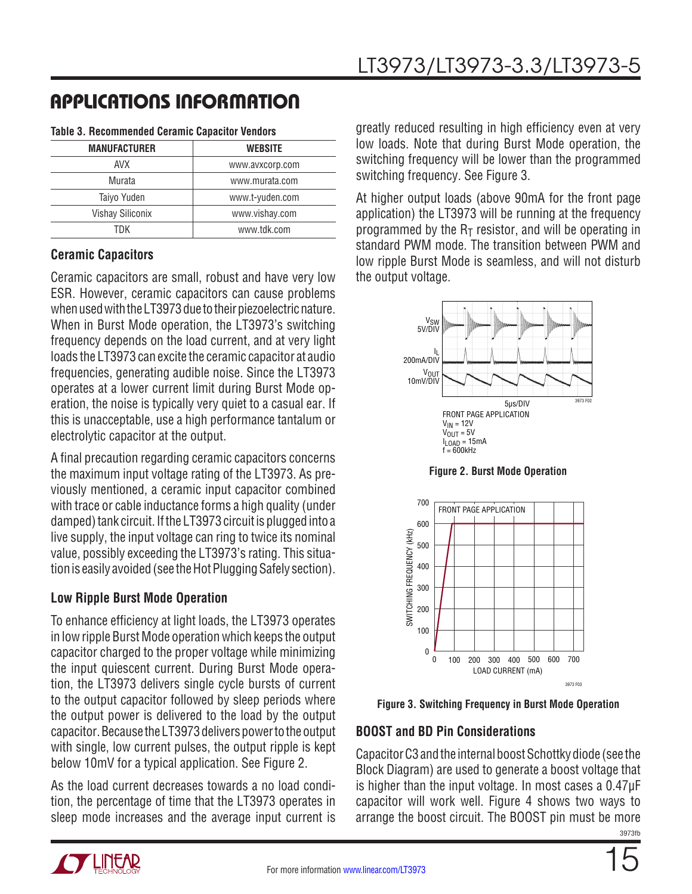| <b>MANUFACTURER</b> | <b>WEBSITE</b>  |
|---------------------|-----------------|
| <b>AVX</b>          | www.avxcorp.com |
| Murata              | www.murata.com  |
| Taiyo Yuden         | www.t-yuden.com |
| Vishay Siliconix    | www.vishay.com  |
| TDK                 | www.tdk.com     |

#### **Table 3. Recommended Ceramic Capacitor Vendors**

#### **Ceramic Capacitors**

Ceramic capacitors are small, robust and have very low ESR. However, ceramic capacitors can cause problems when used with the LT3973 due to their piezoelectric nature. When in Burst Mode operation, the LT3973's switching frequency depends on the load current, and at very light loads the LT3973 can excite the ceramic capacitor at audio frequencies, generating audible noise. Since the LT3973 operates at a lower current limit during Burst Mode operation, the noise is typically very quiet to a casual ear. If this is unacceptable, use a high performance tantalum or electrolytic capacitor at the output.

A final precaution regarding ceramic capacitors concerns the maximum input voltage rating of the LT3973. As previously mentioned, a ceramic input capacitor combined with trace or cable inductance forms a high quality (under damped) tank circuit. If the LT3973 circuit is plugged into a live supply, the input voltage can ring to twice its nominal value, possibly exceeding the LT3973's rating. This situation is easily avoided (see the Hot Plugging Safely section).

#### **Low Ripple Burst Mode Operation**

To enhance efficiency at light loads, the LT3973 operates in low ripple Burst Mode operation which keeps the output capacitor charged to the proper voltage while minimizing the input quiescent current. During Burst Mode operation, the LT3973 delivers single cycle bursts of current to the output capacitor followed by sleep periods where the output power is delivered to the load by the output capacitor. Because the LT3973 delivers power to the output with single, low current pulses, the output ripple is kept below 10mV for a typical application. See Figure 2.

As the load current decreases towards a no load condition, the percentage of time that the LT3973 operates in sleep mode increases and the average input current is greatly reduced resulting in high efficiency even at very low loads. Note that during Burst Mode operation, the switching frequency will be lower than the programmed switching frequency. See Figure 3.

At higher output loads (above 90mA for the front page application) the LT3973 will be running at the frequency programmed by the  $R<sub>T</sub>$  resistor, and will be operating in standard PWM mode. The transition between PWM and low ripple Burst Mode is seamless, and will not disturb the output voltage.



**Figure 2. Burst Mode Operation**



**Figure 3. Switching Frequency in Burst Mode Operation**

#### **BOOST and BD Pin Considerations**

3973fb Capacitor C3 and the internal boost Schottky diode (see the Block Diagram) are used to generate a boost voltage that is higher than the input voltage. In most cases a 0.47µF capacitor will work well. Figure 4 shows two ways to arrange the boost circuit. The BOOST pin must be more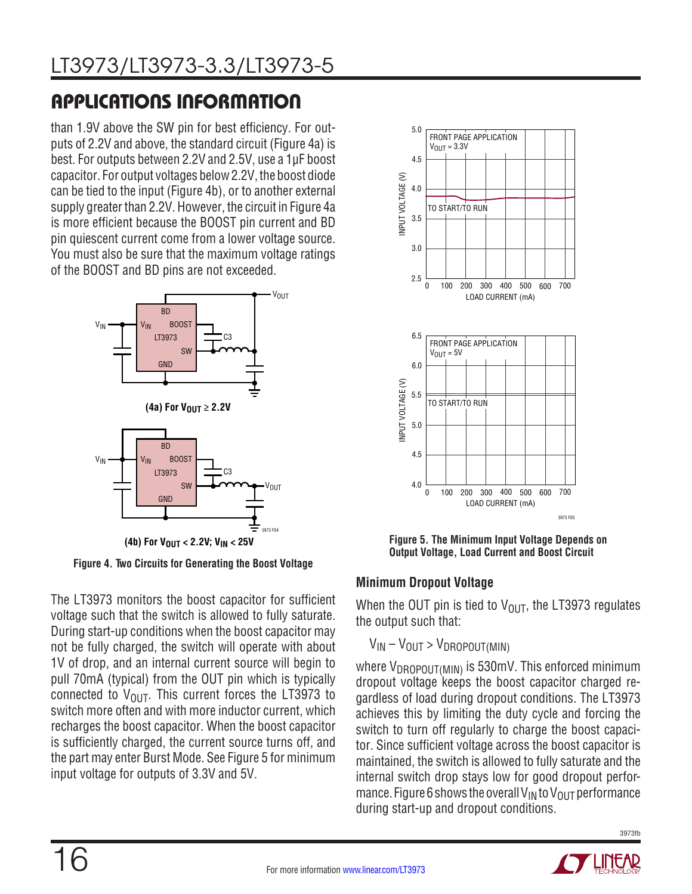than 1.9V above the SW pin for best efficiency. For outputs of 2.2V and above, the standard circuit (Figure 4a) is best. For outputs between 2.2V and 2.5V, use a 1µF boost capacitor. For output voltages below 2.2V, the boost diode can be tied to the input (Figure 4b), or to another external supply greater than 2.2V. However, the circuit in Figure 4a is more efficient because the BOOST pin current and BD pin quiescent current come from a lower voltage source. You must also be sure that the maximum voltage ratings of the BOOST and BD pins are not exceeded.



**Figure 4. Two Circuits for Generating the Boost Voltage**

The LT3973 monitors the boost capacitor for sufficient voltage such that the switch is allowed to fully saturate. During start-up conditions when the boost capacitor may not be fully charged, the switch will operate with about 1V of drop, and an internal current source will begin to pull 70mA (typical) from the OUT pin which is typically connected to  $V_{\text{OUT}}$ . This current forces the LT3973 to switch more often and with more inductor current, which recharges the boost capacitor. When the boost capacitor is sufficiently charged, the current source turns off, and the part may enter Burst Mode. See Figure 5 for minimum input voltage for outputs of 3.3V and 5V.



**Figure 5. The Minimum Input Voltage Depends on Output Voltage, Load Current and Boost Circuit**

### **Minimum Dropout Voltage**

When the OUT pin is tied to  $V_{\text{OUT}}$ , the LT3973 regulates the output such that:

### $V_{IN} - V_{OUT} > V_{DROPOUT(MIN)}$

where  $V_{\text{DROPOUT(MIN)}}$  is 530mV. This enforced minimum dropout voltage keeps the boost capacitor charged regardless of load during dropout conditions. The LT3973 achieves this by limiting the duty cycle and forcing the switch to turn off regularly to charge the boost capacitor. Since sufficient voltage across the boost capacitor is maintained, the switch is allowed to fully saturate and the internal switch drop stays low for good dropout performance. Figure 6 shows the overall V<sub>IN</sub> to V<sub>OUT</sub> performance during start-up and dropout conditions.

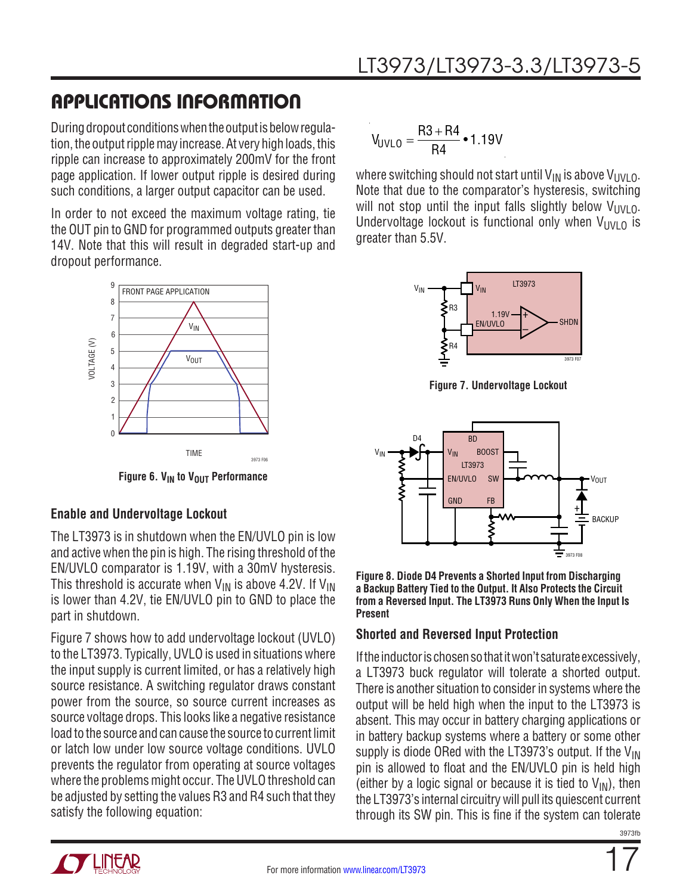During dropout conditions when the output is below regulation, the outputripplemay increase. At very high loads, this ripple can increase to approximately 200mV for the front page application. If lower output ripple is desired during such conditions, a larger output capacitor can be used.

In order to not exceed the maximum voltage rating, tie the OUT pin to GND for programmed outputs greater than 14V. Note that this will result in degraded start-up and dropout performance.



**Figure 6. V<sub>IN</sub> to V<sub>OUT</sub> Performance** 

#### <sup>+</sup> **Enable and Undervoltage Lockout**

The LT3973 is in shutdown when the EN/UVLO pin is low and active when the pin is high. The rising threshold of the EN/UVLO comparator is 1.19V, with a 30mV hysteresis. This threshold is accurate when  $V_{IN}$  is above 4.2V. If  $V_{IN}$ is lower than 4.2V, tie EN/UVLO pin to GND to place the part in shutdown.

Figure 7 shows how to add undervoltage lockout (UVLO) to the LT3973. Typically, UVLO is used in situations where the input supply is current limited, or has a relatively high source resistance. A switching regulator draws constant power from the source, so source current increases as source voltage drops. This looks like a negative resistance load to the source and can cause the source to current limit or latch low under low source voltage conditions. UVLO prevents the regulator from operating at source voltages where the problems might occur. The UVLO threshold can be adjusted by setting the values R3 and R4 such that they satisfy the following equation:

$$
V_{UVLO} = \frac{R3 + R4}{R4} \cdot 1.19V
$$

where switching should not start until  $V_{IN}$  is above  $V_{UV}$  0. Note that due to the comparator's hysteresis, switching will not stop until the input falls slightly below  $V_{UVLO}$ . Undervoltage lockout is functional only when  $V_{UVLO}$  is greater than 5.5V.



**Figure 7. Undervoltage Lockout**



**Figure 8. Diode D4 Prevents a Shorted Input from Discharging a Backup Battery Tied to the Output. It Also Protects the Circuit from a Reversed Input. The LT3973 Runs Only When the Input Is Present**

#### **Shorted and Reversed Input Protection**

If the inductor is chosen so that it won't saturate excessively, a LT3973 buck regulator will tolerate a shorted output. There is another situation to consider in systems where the output will be held high when the input to the LT3973 is absent. This may occur in battery charging applications or in battery backup systems where a battery or some other supply is diode ORed with the LT3973's output. If the  $V_{\text{IN}}$ pin is allowed to float and the EN/UVLO pin is held high (either by a logic signal or because it is tied to  $V_{IN}$ ), then the LT3973's internal circuitrywill pull its quiescent current through its SW pin. This is fine if the system can tolerate

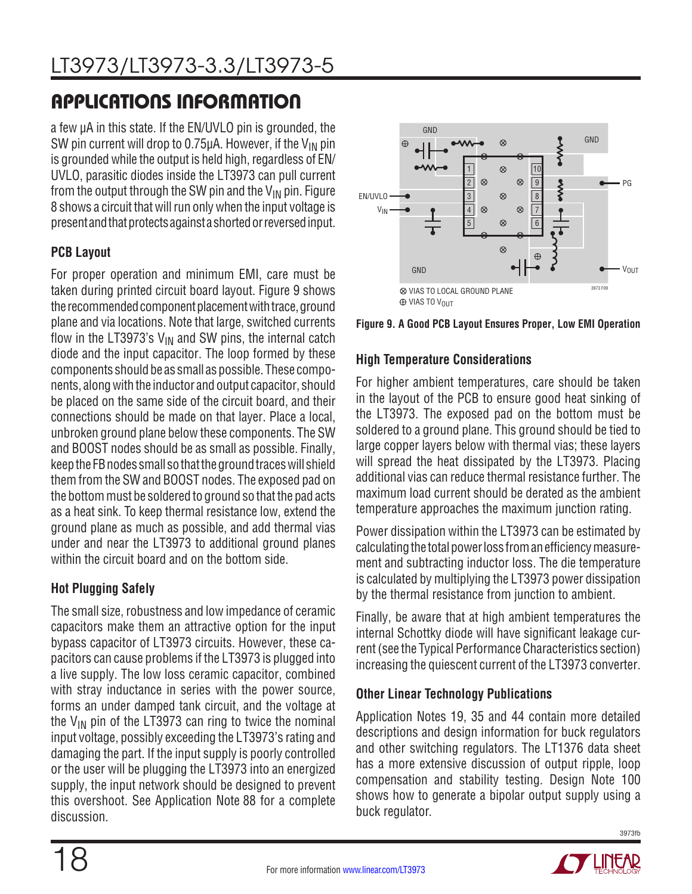a few µA in this state. If the EN/UVLO pin is grounded, the SW pin current will drop to 0.75 $\mu$ A. However, if the V<sub>IN</sub> pin is groundedwhile the output is held high, regardless of EN/ UVLO, parasitic diodes inside the LT3973 can pull current from the output through the SW pin and the  $V_{IN}$  pin. Figure 8 shows a circuit that will run only when the input voltage is present and that protects against a shorted or reversed input.

#### **PCB Layout**

For proper operation and minimum EMI, care must be taken during printed circuit board layout. Figure 9 shows the recommended component placement with trace, ground plane and via locations. Note that large, switched currents flow in the LT3973's  $V_{IN}$  and SW pins, the internal catch diode and the input capacitor. The loop formed by these components should be as small as possible. These components, alongwith the inductor and output capacitor, should be placed on the same side of the circuit board, and their connections should be made on that layer. Place a local, unbroken ground plane below these components. The SW and BOOST nodes should be as small as possible. Finally, keep the FB nodes small so that the ground traces will shield them from the SW and BOOST nodes. The exposed pad on the bottommust be soldered to ground so that the pad acts as a heat sink. To keep thermal resistance low, extend the ground plane as much as possible, and add thermal vias under and near the LT3973 to additional ground planes within the circuit board and on the bottom side.

### **Hot Plugging Safely**

The small size, robustness and low impedance of ceramic capacitors make them an attractive option for the input bypass capacitor of LT3973 circuits. However, these capacitors can cause problems if the LT3973 is plugged into a live supply. The low loss ceramic capacitor, combined with stray inductance in series with the power source, forms an under damped tank circuit, and the voltage at the  $V_{IN}$  pin of the LT3973 can ring to twice the nominal input voltage, possibly exceeding the LT3973's rating and damaging the part. If the input supply is poorly controlled or the user will be plugging the LT3973 into an energized supply, the input network should be designed to prevent this overshoot. See Application Note 88 for a complete discussion.



**Figure 9. A Good PCB Layout Ensures Proper, Low EMI Operation**

#### **High Temperature Considerations**

For higher ambient temperatures, care should be taken in the layout of the PCB to ensure good heat sinking of the LT3973. The exposed pad on the bottom must be soldered to a ground plane. This ground should be tied to large copper layers below with thermal vias; these layers will spread the heat dissipated by the LT3973. Placing additional vias can reduce thermal resistance further. The maximum load current should be derated as the ambient temperature approaches the maximum junction rating.

Power dissipation within the LT3973 can be estimated by calculating the total power loss from an efficiency measurement and subtracting inductor loss. The die temperature is calculated by multiplying the LT3973 power dissipation by the thermal resistance from junction to ambient.

Finally, be aware that at high ambient temperatures the internal Schottky diode will have significant leakage current (see the Typical Performance Characteristics section) increasing the quiescent current of the LT3973 converter.

#### **Other Linear Technology Publications**

Application Notes 19, 35 and 44 contain more detailed descriptions and design information for buck regulators and other switching regulators. The LT1376 data sheet has a more extensive discussion of output ripple, loop compensation and stability testing. Design Note 100 shows how to generate a bipolar output supply using a buck regulator.

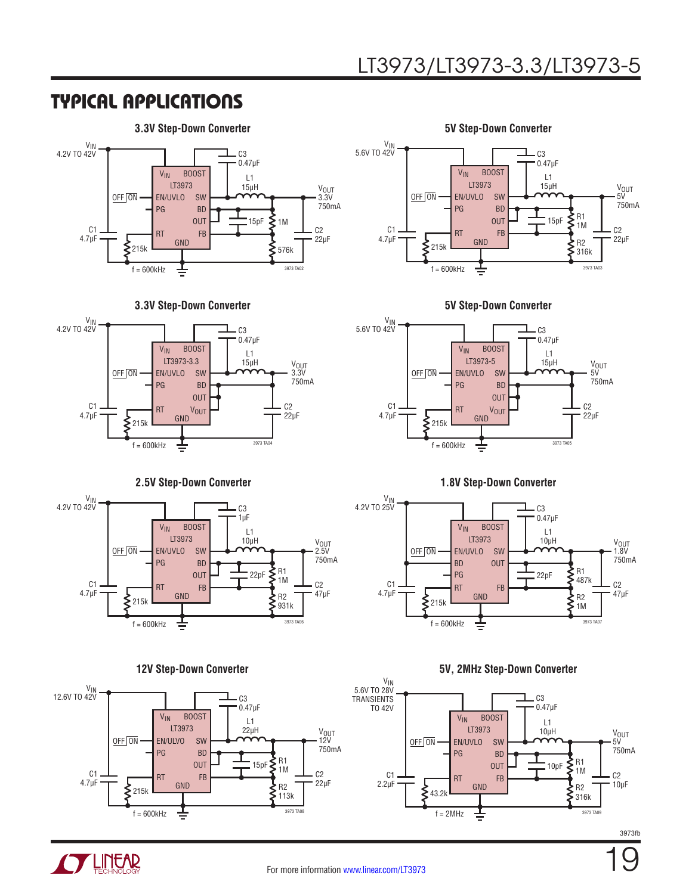### TYPICAL APPLICATIONS

#### **3.3V Step-Down Converter 5V Step-Down Converter**



**3.3V Step-Down Converter 5V Step-Down Converter**



#### **2.5V Step-Down Converter 1.8V Step-Down Converter**













#### **12V Step-Down Converter 5V, 2MHz Step-Down Converter**





3973fb

19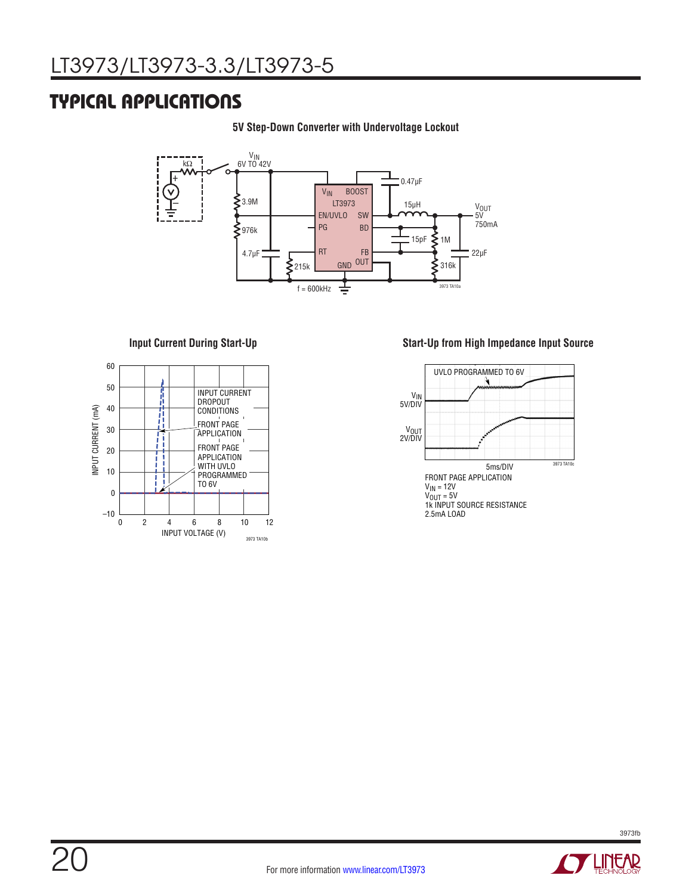### TYPICAL APPLICATIONS

#### **5V Step-Down Converter with Undervoltage Lockout**





#### **Input Current During Start-Up Start-Up from High Impedance Input Source**



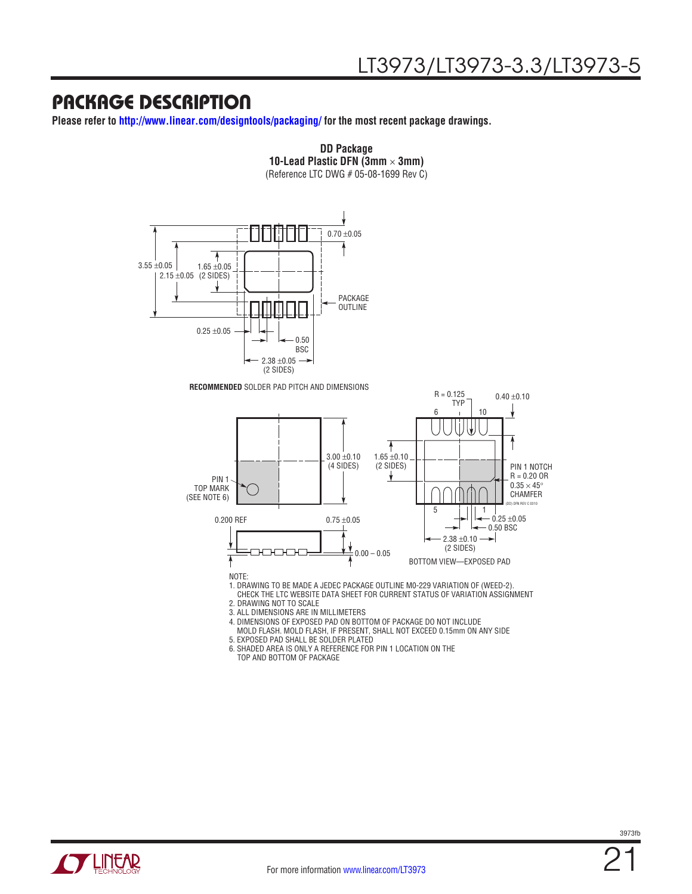### PACKAGE DESCRIPTION

**Please refer to http://www.linear.com/designtools/packaging/ for the most recent package drawings.**



4. DIMENSIONS OF EXPOSED PAD ON BOTTOM OF PACKAGE DO NOT INCLUDE MOLD FLASH. MOLD FLASH, IF PRESENT, SHALL NOT EXCEED 0.15mm ON ANY SIDE

5. EXPOSED PAD SHALL BE SOLDER PLATED

6. SHADED AREA IS ONLY A REFERENCE FOR PIN 1 LOCATION ON THE TOP AND BOTTOM OF PACKAGE

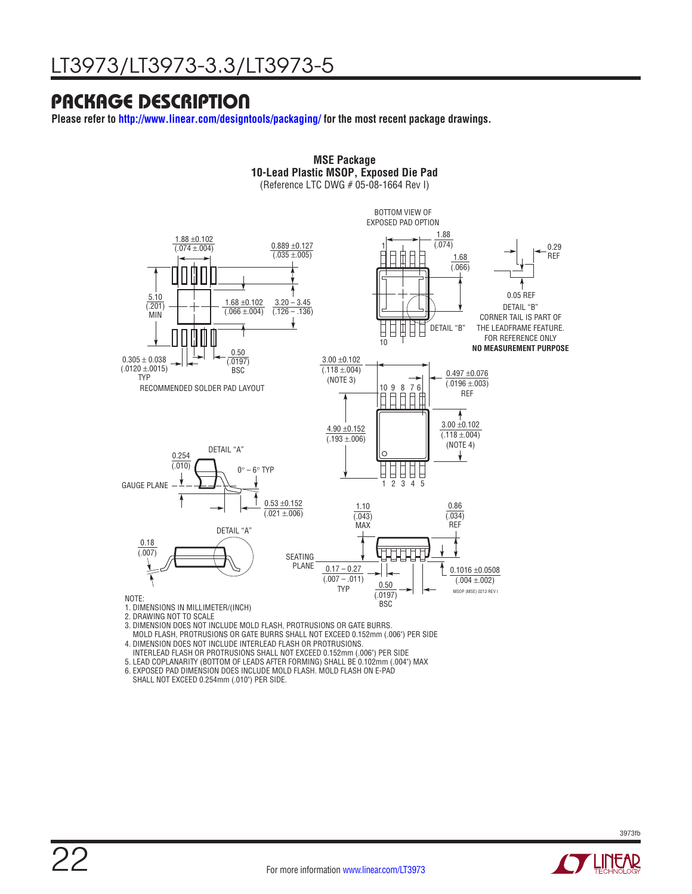### PACKAGE DESCRIPTION

**Please refer to http://www.linear.com/designtools/packaging/ for the most recent package drawings.**



**MSE Package**

- 3. DIMENSION DOES NOT INCLUDE MOLD FLASH, PROTRUSIONS OR GATE BURRS.
- MOLD FLASH, PROTRUSIONS OR GATE BURRS SHALL NOT EXCEED 0.152mm (.006") PER SIDE
- 4. DIMENSION DOES NOT INCLUDE INTERLEAD FLASH OR PROTRUSIONS.
- INTERLEAD FLASH OR PROTRUSIONS SHALL NOT EXCEED 0.152mm (.006") PER SIDE
- 5. LEAD COPLANARITY (BOTTOM OF LEADS AFTER FORMING) SHALL BE 0.102mm (.004") MAX
- 6. EXPOSED PAD DIMENSION DOES INCLUDE MOLD FLASH. MOLD FLASH ON E-PAD SHALL NOT EXCEED 0.254mm (.010") PER SIDE.

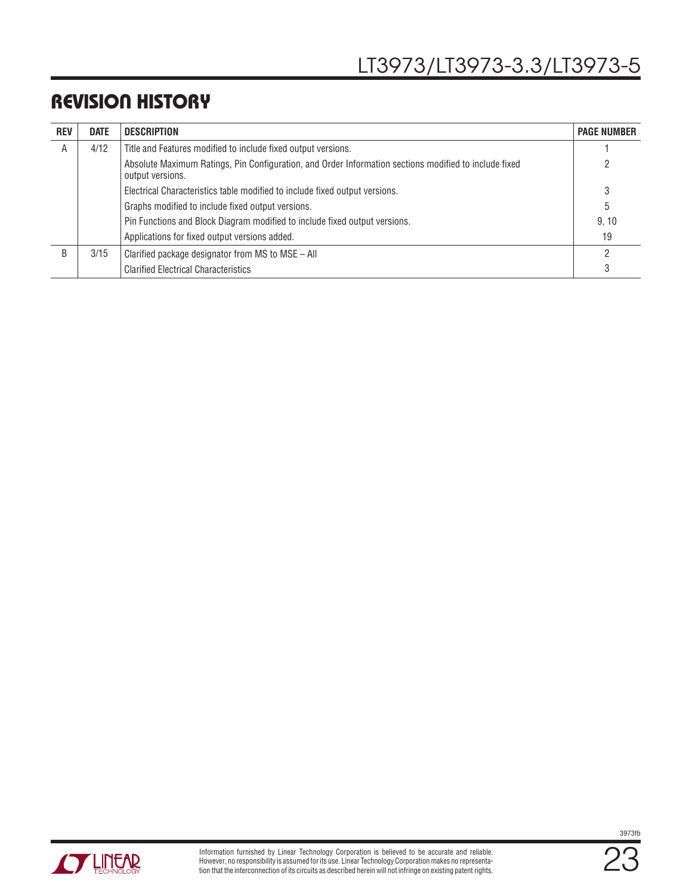### REVISION HISTORY

| <b>REV</b> | <b>DATE</b> | <b>DESCRIPTION</b>                                                                                                        | <b>PAGE NUMBER</b> |
|------------|-------------|---------------------------------------------------------------------------------------------------------------------------|--------------------|
| A          | 4/12        | Title and Features modified to include fixed output versions.                                                             |                    |
|            |             | Absolute Maximum Ratings, Pin Configuration, and Order Information sections modified to include fixed<br>output versions. |                    |
|            |             | Electrical Characteristics table modified to include fixed output versions.                                               | 3                  |
|            |             | Graphs modified to include fixed output versions.                                                                         | 5                  |
|            |             | Pin Functions and Block Diagram modified to include fixed output versions.                                                | 9.10               |
|            |             | Applications for fixed output versions added.                                                                             | 19                 |
| R          | 3/15        | Clarified package designator from MS to MSE - All                                                                         |                    |
|            |             | <b>Clarified Electrical Characteristics</b>                                                                               |                    |